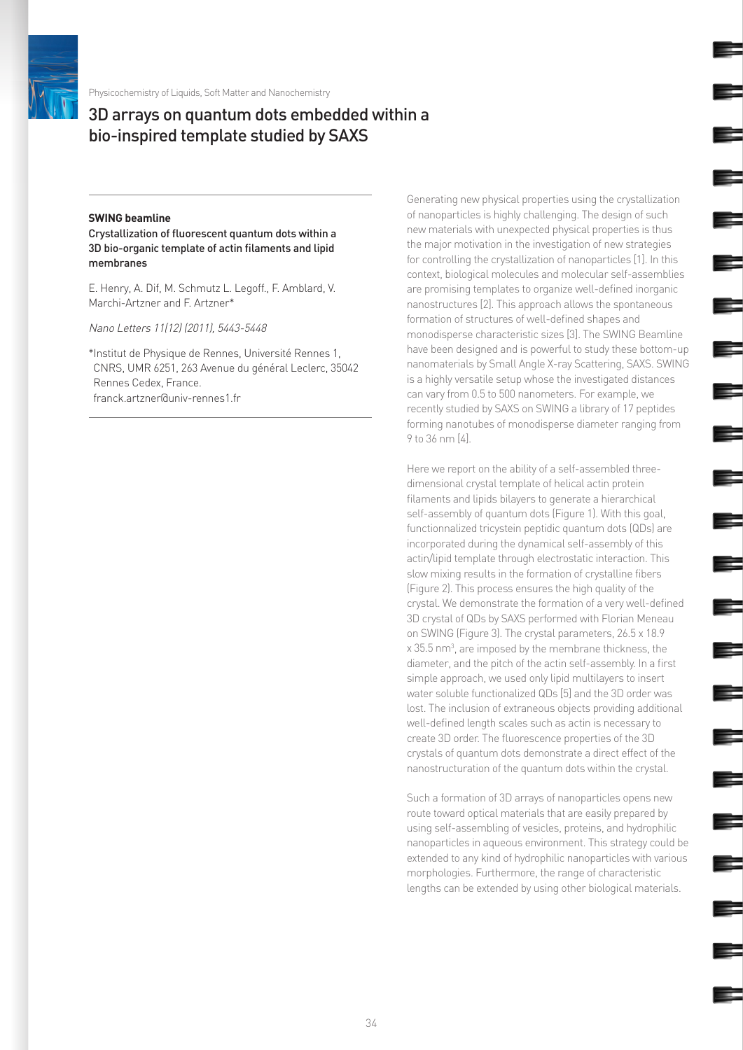

Physicochemistry of Liquids, Soft Matter and Nanochemistry

## 3D arrays on quantum dots embedded within a bio-inspired template studied by SAXS

## **SWING beamline**

Crystallization of fluorescent quantum dots within a 3D bio-organic template of actin filaments and lipid membranes

E. Henry, A. Dif, M. Schmutz L. Legoff., F. Amblard, V. Marchi-Artzner and F. Artzner\*

Nano Letters 11(12) (2011), 5443-5448

\*Institut de Physique de Rennes, Université Rennes 1, CNRS, UMR 6251, 263 Avenue du général Leclerc, 35042 Rennes Cedex, France. franck.artzner@univ-rennes1.fr

Generating new physical properties using the crystallization of nanoparticles is highly challenging. The design of such new materials with unexpected physical properties is thus the major motivation in the investigation of new strategies for controlling the crystallization of nanoparticles [1]. In this context, biological molecules and molecular self-assemblies are promising templates to organize well-defined inorganic nanostructures [2]. This approach allows the spontaneous formation of structures of well-defined shapes and monodisperse characteristic sizes [3]. The SWING Beamline have been designed and is powerful to study these bottom-up nanomaterials by Small Angle X-ray Scattering, SAXS. SWING is a highly versatile setup whose the investigated distances can vary from 0.5 to 500 nanometers. For example, we recently studied by SAXS on SWING a library of 17 peptides forming nanotubes of monodisperse diameter ranging from 9 to 36 nm [4].

Here we report on the ability of a self-assembled threedimensional crystal template of helical actin protein filaments and lipids bilayers to generate a hierarchical self-assembly of quantum dots (Figure 1). With this goal, functionnalized tricystein peptidic quantum dots (QDs) are incorporated during the dynamical self-assembly of this actin/lipid template through electrostatic interaction. This slow mixing results in the formation of crystalline fibers (Figure 2). This process ensures the high quality of the crystal. We demonstrate the formation of a very well-defined 3D crystal of QDs by SAXS performed with Florian Meneau on SWING (Figure 3). The crystal parameters, 26.5 x 18.9 x 35.5 nm<sup>3</sup>, are imposed by the membrane thickness, the diameter, and the pitch of the actin self-assembly. In a first simple approach, we used only lipid multilayers to insert water soluble functionalized QDs [5] and the 3D order was lost. The inclusion of extraneous objects providing additional well-defined length scales such as actin is necessary to create 3D order. The fluorescence properties of the 3D crystals of quantum dots demonstrate a direct effect of the nanostructuration of the quantum dots within the crystal.

Such a formation of 3D arrays of nanoparticles opens new route toward optical materials that are easily prepared by using self-assembling of vesicles, proteins, and hydrophilic nanoparticles in aqueous environment. This strategy could be extended to any kind of hydrophilic nanoparticles with various morphologies. Furthermore, the range of characteristic lengths can be extended by using other biological materials.